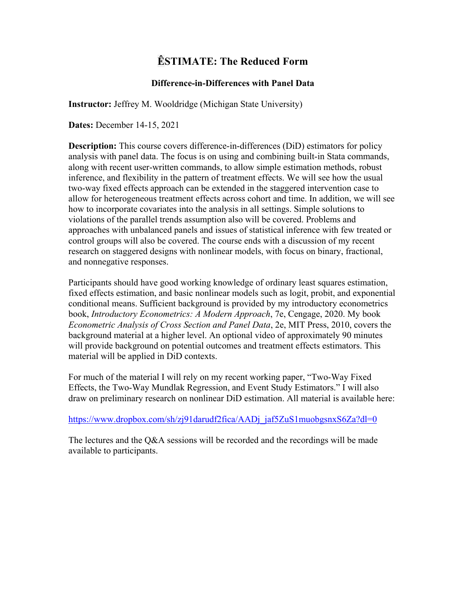# **ÊSTIMATE: The Reduced Form**

# **Difference-in-Differences with Panel Data**

**Instructor:** Jeffrey M. Wooldridge (Michigan State University)

**Dates:** December 14-15, 2021

**Description:** This course covers difference-in-differences (DiD) estimators for policy analysis with panel data. The focus is on using and combining built-in Stata commands, along with recent user-written commands, to allow simple estimation methods, robust inference, and flexibility in the pattern of treatment effects. We will see how the usual two-way fixed effects approach can be extended in the staggered intervention case to allow for heterogeneous treatment effects across cohort and time. In addition, we will see how to incorporate covariates into the analysis in all settings. Simple solutions to violations of the parallel trends assumption also will be covered. Problems and approaches with unbalanced panels and issues of statistical inference with few treated or control groups will also be covered. The course ends with a discussion of my recent research on staggered designs with nonlinear models, with focus on binary, fractional, and nonnegative responses.

Participants should have good working knowledge of ordinary least squares estimation, fixed effects estimation, and basic nonlinear models such as logit, probit, and exponential conditional means. Sufficient background is provided by my introductory econometrics book, *Introductory Econometrics: A Modern Approach*, 7e, Cengage, 2020. My book *Econometric Analysis of Cross Section and Panel Data*, 2e, MIT Press, 2010, covers the background material at a higher level. An optional video of approximately 90 minutes will provide background on potential outcomes and treatment effects estimators. This material will be applied in DiD contexts.

For much of the material I will rely on my recent working paper, "Two-Way Fixed Effects, the Two-Way Mundlak Regression, and Event Study Estimators." I will also draw on preliminary research on nonlinear DiD estimation. All material is available here:

[https://www.dropbox.com/sh/zj91darudf2fica/AADj\\_jaf5ZuS1muobgsnxS6Za?dl=0](https://www.dropbox.com/sh/zj91darudf2fica/AADj_jaf5ZuS1muobgsnxS6Za?dl=0)

The lectures and the Q&A sessions will be recorded and the recordings will be made available to participants.